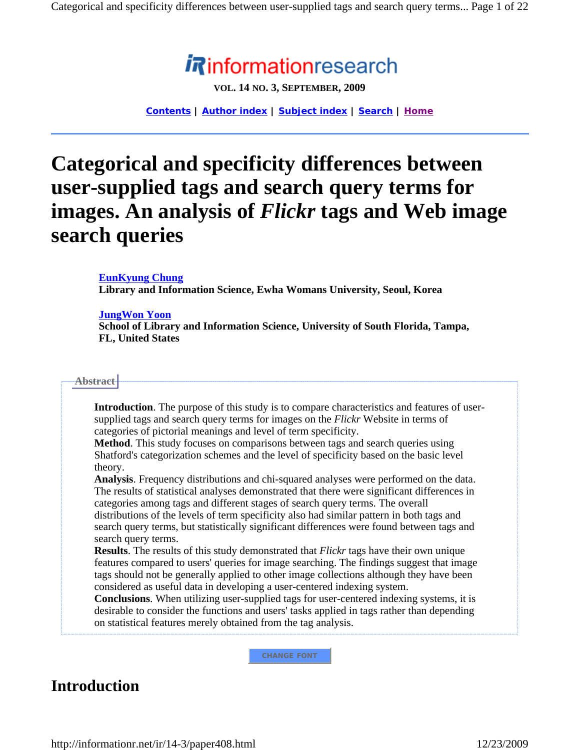# informationresearch

**VOL. 14 NO. 3, SEPTEMBER, 2009**

**Contents | Author index | Subject index | Search | Home**

# **Categorical and specificity differences between user-supplied tags and search query terms for images. An analysis of** *Flickr* **tags and Web image search queries**

### **EunKyung Chung**

**Library and Information Science, Ewha Womans University, Seoul, Korea** 

### **JungWon Yoon**

**School of Library and Information Science, University of South Florida, Tampa, FL, United States** 

#### **Abstract**

**Introduction**. The purpose of this study is to compare characteristics and features of usersupplied tags and search query terms for images on the *Flickr* Website in terms of categories of pictorial meanings and level of term specificity.

**Method**. This study focuses on comparisons between tags and search queries using Shatford's categorization schemes and the level of specificity based on the basic level theory.

**Analysis**. Frequency distributions and chi-squared analyses were performed on the data. The results of statistical analyses demonstrated that there were significant differences in categories among tags and different stages of search query terms. The overall distributions of the levels of term specificity also had similar pattern in both tags and search query terms, but statistically significant differences were found between tags and search query terms.

**Results**. The results of this study demonstrated that *Flickr* tags have their own unique features compared to users' queries for image searching. The findings suggest that image tags should not be generally applied to other image collections although they have been considered as useful data in developing a user-centered indexing system.

**Conclusions**. When utilizing user-supplied tags for user-centered indexing systems, it is desirable to consider the functions and users' tasks applied in tags rather than depending on statistical features merely obtained from the tag analysis.

**CHANGE FONT**

## **Introduction**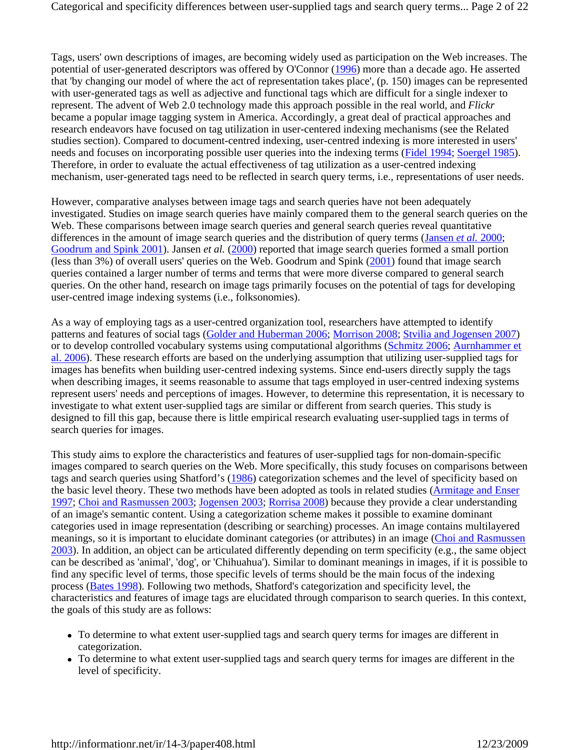Tags, users' own descriptions of images, are becoming widely used as participation on the Web increases. The potential of user-generated descriptors was offered by O'Connor (1996) more than a decade ago. He asserted that 'by changing our model of where the act of representation takes place', (p. 150) images can be represented with user-generated tags as well as adjective and functional tags which are difficult for a single indexer to represent. The advent of Web 2.0 technology made this approach possible in the real world, and *Flickr* became a popular image tagging system in America. Accordingly, a great deal of practical approaches and research endeavors have focused on tag utilization in user-centered indexing mechanisms (see the Related studies section). Compared to document-centred indexing, user-centred indexing is more interested in users' needs and focuses on incorporating possible user queries into the indexing terms (Fidel 1994; Soergel 1985). Therefore, in order to evaluate the actual effectiveness of tag utilization as a user-centred indexing mechanism, user-generated tags need to be reflected in search query terms, i.e., representations of user needs.

However, comparative analyses between image tags and search queries have not been adequately investigated. Studies on image search queries have mainly compared them to the general search queries on the Web. These comparisons between image search queries and general search queries reveal quantitative differences in the amount of image search queries and the distribution of query terms (Jansen *et al.* 2000; Goodrum and Spink 2001). Jansen *et al.* (2000) reported that image search queries formed a small portion (less than 3%) of overall users' queries on the Web. Goodrum and Spink (2001) found that image search queries contained a larger number of terms and terms that were more diverse compared to general search queries. On the other hand, research on image tags primarily focuses on the potential of tags for developing user-centred image indexing systems (i.e., folksonomies).

As a way of employing tags as a user-centred organization tool, researchers have attempted to identify patterns and features of social tags (Golder and Huberman 2006; Morrison 2008; Stvilia and Jogensen 2007) or to develop controlled vocabulary systems using computational algorithms (Schmitz 2006; Aurnhammer et al. 2006). These research efforts are based on the underlying assumption that utilizing user-supplied tags for images has benefits when building user-centred indexing systems. Since end-users directly supply the tags when describing images, it seems reasonable to assume that tags employed in user-centred indexing systems represent users' needs and perceptions of images. However, to determine this representation, it is necessary to investigate to what extent user-supplied tags are similar or different from search queries. This study is designed to fill this gap, because there is little empirical research evaluating user-supplied tags in terms of search queries for images.

This study aims to explore the characteristics and features of user-supplied tags for non-domain-specific images compared to search queries on the Web. More specifically, this study focuses on comparisons between tags and search queries using Shatford's (1986) categorization schemes and the level of specificity based on the basic level theory. These two methods have been adopted as tools in related studies (Armitage and Enser 1997; Choi and Rasmussen 2003; Jogensen 2003; Rorrisa 2008) because they provide a clear understanding of an image's semantic content. Using a categorization scheme makes it possible to examine dominant categories used in image representation (describing or searching) processes. An image contains multilayered meanings, so it is important to elucidate dominant categories (or attributes) in an image (Choi and Rasmussen 2003). In addition, an object can be articulated differently depending on term specificity (e.g., the same object can be described as 'animal', 'dog', or 'Chihuahua'). Similar to dominant meanings in images, if it is possible to find any specific level of terms, those specific levels of terms should be the main focus of the indexing process (Bates 1998). Following two methods, Shatford's categorization and specificity level, the characteristics and features of image tags are elucidated through comparison to search queries. In this context, the goals of this study are as follows:

- To determine to what extent user-supplied tags and search query terms for images are different in categorization.
- To determine to what extent user-supplied tags and search query terms for images are different in the level of specificity.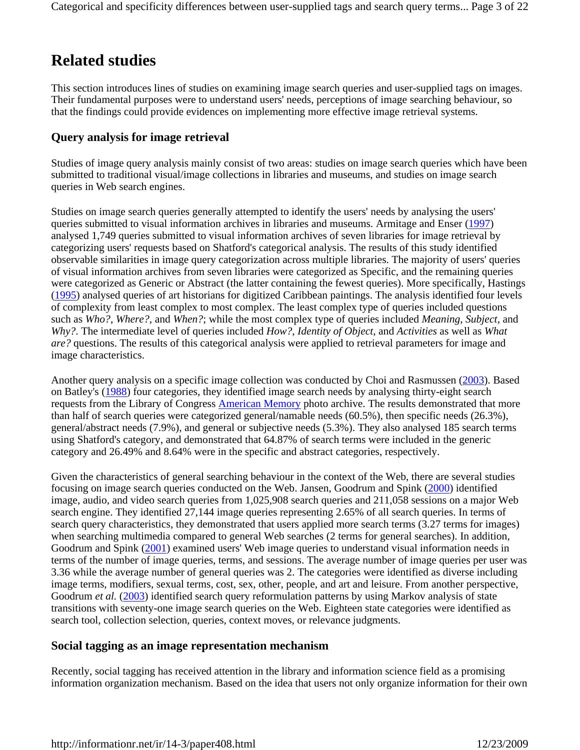# **Related studies**

This section introduces lines of studies on examining image search queries and user-supplied tags on images. Their fundamental purposes were to understand users' needs, perceptions of image searching behaviour, so that the findings could provide evidences on implementing more effective image retrieval systems.

### **Query analysis for image retrieval**

Studies of image query analysis mainly consist of two areas: studies on image search queries which have been submitted to traditional visual/image collections in libraries and museums, and studies on image search queries in Web search engines.

Studies on image search queries generally attempted to identify the users' needs by analysing the users' queries submitted to visual information archives in libraries and museums. Armitage and Enser (1997) analysed 1,749 queries submitted to visual information archives of seven libraries for image retrieval by categorizing users' requests based on Shatford's categorical analysis. The results of this study identified observable similarities in image query categorization across multiple libraries. The majority of users' queries of visual information archives from seven libraries were categorized as Specific, and the remaining queries were categorized as Generic or Abstract (the latter containing the fewest queries). More specifically, Hastings (1995) analysed queries of art historians for digitized Caribbean paintings. The analysis identified four levels of complexity from least complex to most complex. The least complex type of queries included questions such as *Who?*, *Where?*, and *When?*; while the most complex type of queries included *Meaning*, *Subject*, and *Why?*. The intermediate level of queries included *How?*, *Identity of Object*, and *Activities* as well as *What are?* questions. The results of this categorical analysis were applied to retrieval parameters for image and image characteristics.

Another query analysis on a specific image collection was conducted by Choi and Rasmussen (2003). Based on Batley's (1988) four categories, they identified image search needs by analysing thirty-eight search requests from the Library of Congress American Memory photo archive. The results demonstrated that more than half of search queries were categorized general/namable needs (60.5%), then specific needs (26.3%), general/abstract needs (7.9%), and general or subjective needs (5.3%). They also analysed 185 search terms using Shatford's category, and demonstrated that 64.87% of search terms were included in the generic category and 26.49% and 8.64% were in the specific and abstract categories, respectively.

Given the characteristics of general searching behaviour in the context of the Web, there are several studies focusing on image search queries conducted on the Web. Jansen, Goodrum and Spink (2000) identified image, audio, and video search queries from 1,025,908 search queries and 211,058 sessions on a major Web search engine. They identified 27,144 image queries representing 2.65% of all search queries. In terms of search query characteristics, they demonstrated that users applied more search terms (3.27 terms for images) when searching multimedia compared to general Web searches (2 terms for general searches). In addition, Goodrum and Spink (2001) examined users' Web image queries to understand visual information needs in terms of the number of image queries, terms, and sessions. The average number of image queries per user was 3.36 while the average number of general queries was 2. The categories were identified as diverse including image terms, modifiers, sexual terms, cost, sex, other, people, and art and leisure. From another perspective, Goodrum *et al.* (2003) identified search query reformulation patterns by using Markov analysis of state transitions with seventy-one image search queries on the Web. Eighteen state categories were identified as search tool, collection selection, queries, context moves, or relevance judgments.

### **Social tagging as an image representation mechanism**

Recently, social tagging has received attention in the library and information science field as a promising information organization mechanism. Based on the idea that users not only organize information for their own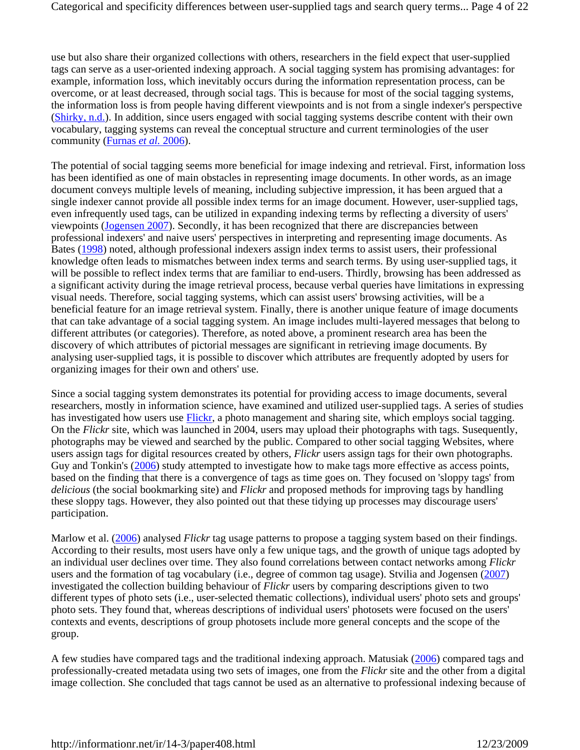use but also share their organized collections with others, researchers in the field expect that user-supplied tags can serve as a user-oriented indexing approach. A social tagging system has promising advantages: for example, information loss, which inevitably occurs during the information representation process, can be overcome, or at least decreased, through social tags. This is because for most of the social tagging systems, the information loss is from people having different viewpoints and is not from a single indexer's perspective (Shirky, n.d.). In addition, since users engaged with social tagging systems describe content with their own vocabulary, tagging systems can reveal the conceptual structure and current terminologies of the user community (Furnas *et al.* 2006).

The potential of social tagging seems more beneficial for image indexing and retrieval. First, information loss has been identified as one of main obstacles in representing image documents. In other words, as an image document conveys multiple levels of meaning, including subjective impression, it has been argued that a single indexer cannot provide all possible index terms for an image document. However, user-supplied tags, even infrequently used tags, can be utilized in expanding indexing terms by reflecting a diversity of users' viewpoints (Jogensen 2007). Secondly, it has been recognized that there are discrepancies between professional indexers' and naive users' perspectives in interpreting and representing image documents. As Bates (1998) noted, although professional indexers assign index terms to assist users, their professional knowledge often leads to mismatches between index terms and search terms. By using user-supplied tags, it will be possible to reflect index terms that are familiar to end-users. Thirdly, browsing has been addressed as a significant activity during the image retrieval process, because verbal queries have limitations in expressing visual needs. Therefore, social tagging systems, which can assist users' browsing activities, will be a beneficial feature for an image retrieval system. Finally, there is another unique feature of image documents that can take advantage of a social tagging system. An image includes multi-layered messages that belong to different attributes (or categories). Therefore, as noted above, a prominent research area has been the discovery of which attributes of pictorial messages are significant in retrieving image documents. By analysing user-supplied tags, it is possible to discover which attributes are frequently adopted by users for organizing images for their own and others' use.

Since a social tagging system demonstrates its potential for providing access to image documents, several researchers, mostly in information science, have examined and utilized user-supplied tags. A series of studies has investigated how users use Flickr, a photo management and sharing site, which employs social tagging. On the *Flickr* site, which was launched in 2004, users may upload their photographs with tags. Susequently, photographs may be viewed and searched by the public. Compared to other social tagging Websites, where users assign tags for digital resources created by others, *Flickr* users assign tags for their own photographs. Guy and Tonkin's (2006) study attempted to investigate how to make tags more effective as access points, based on the finding that there is a convergence of tags as time goes on. They focused on 'sloppy tags' from *delicious* (the social bookmarking site) and *Flickr* and proposed methods for improving tags by handling these sloppy tags. However, they also pointed out that these tidying up processes may discourage users' participation.

Marlow et al. (2006) analysed *Flickr* tag usage patterns to propose a tagging system based on their findings. According to their results, most users have only a few unique tags, and the growth of unique tags adopted by an individual user declines over time. They also found correlations between contact networks among *Flickr* users and the formation of tag vocabulary (i.e., degree of common tag usage). Stvilia and Jogensen (2007) investigated the collection building behaviour of *Flickr* users by comparing descriptions given to two different types of photo sets (i.e., user-selected thematic collections), individual users' photo sets and groups' photo sets. They found that, whereas descriptions of individual users' photosets were focused on the users' contexts and events, descriptions of group photosets include more general concepts and the scope of the group.

A few studies have compared tags and the traditional indexing approach. Matusiak (2006) compared tags and professionally-created metadata using two sets of images, one from the *Flickr* site and the other from a digital image collection. She concluded that tags cannot be used as an alternative to professional indexing because of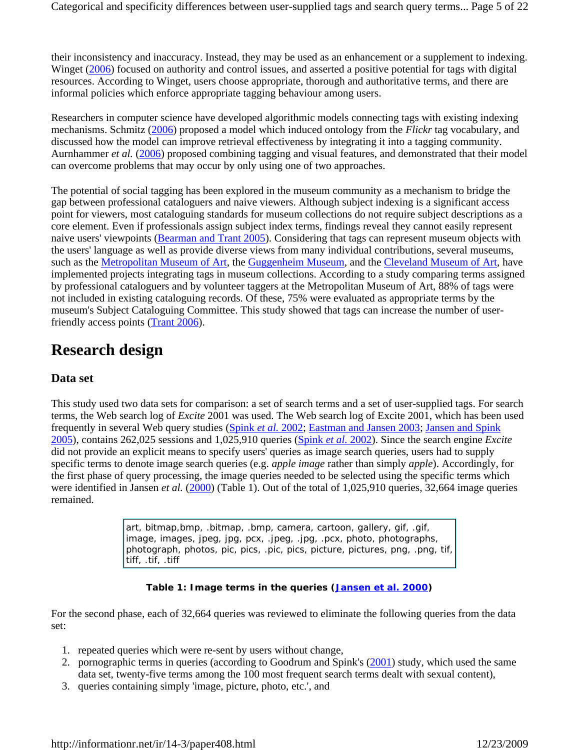their inconsistency and inaccuracy. Instead, they may be used as an enhancement or a supplement to indexing. Winget (2006) focused on authority and control issues, and asserted a positive potential for tags with digital resources. According to Winget, users choose appropriate, thorough and authoritative terms, and there are informal policies which enforce appropriate tagging behaviour among users.

Researchers in computer science have developed algorithmic models connecting tags with existing indexing mechanisms. Schmitz (2006) proposed a model which induced ontology from the *Flickr* tag vocabulary, and discussed how the model can improve retrieval effectiveness by integrating it into a tagging community. Aurnhammer *et al.* (2006) proposed combining tagging and visual features, and demonstrated that their model can overcome problems that may occur by only using one of two approaches.

The potential of social tagging has been explored in the museum community as a mechanism to bridge the gap between professional cataloguers and naive viewers. Although subject indexing is a significant access point for viewers, most cataloguing standards for museum collections do not require subject descriptions as a core element. Even if professionals assign subject index terms, findings reveal they cannot easily represent naive users' viewpoints (Bearman and Trant 2005). Considering that tags can represent museum objects with the users' language as well as provide diverse views from many individual contributions, several museums, such as the Metropolitan Museum of Art, the Guggenheim Museum, and the Cleveland Museum of Art, have implemented projects integrating tags in museum collections. According to a study comparing terms assigned by professional cataloguers and by volunteer taggers at the Metropolitan Museum of Art, 88% of tags were not included in existing cataloguing records. Of these, 75% were evaluated as appropriate terms by the museum's Subject Cataloguing Committee. This study showed that tags can increase the number of userfriendly access points (Trant 2006).

# **Research design**

### **Data set**

This study used two data sets for comparison: a set of search terms and a set of user-supplied tags. For search terms, the Web search log of *Excite* 2001 was used. The Web search log of Excite 2001, which has been used frequently in several Web query studies (Spink *et al.* 2002; Eastman and Jansen 2003; Jansen and Spink 2005), contains 262,025 sessions and 1,025,910 queries (Spink *et al.* 2002). Since the search engine *Excite* did not provide an explicit means to specify users' queries as image search queries, users had to supply specific terms to denote image search queries (e.g. *apple image* rather than simply *apple*). Accordingly, for the first phase of query processing, the image queries needed to be selected using the specific terms which were identified in Jansen *et al.* (2000) (Table 1). Out of the total of 1,025,910 queries, 32,664 image queries remained.

> art, bitmap,bmp, .bitmap, .bmp, camera, cartoon, gallery, gif, .gif, image, images, jpeg, jpg, pcx, .jpeg, .jpg, .pcx, photo, photographs, photograph, photos, pic, pics, .pic, pics, picture, pictures, png, .png, tif, tiff, .tif, .tiff

### **Table 1: Image terms in the queries (Jansen** *et al.* **2000)**

For the second phase, each of 32,664 queries was reviewed to eliminate the following queries from the data set:

- 1. repeated queries which were re-sent by users without change,
- 2. pornographic terms in queries (according to Goodrum and Spink's (2001) study, which used the same data set, twenty-five terms among the 100 most frequent search terms dealt with sexual content),
- 3. queries containing simply 'image, picture, photo, etc.', and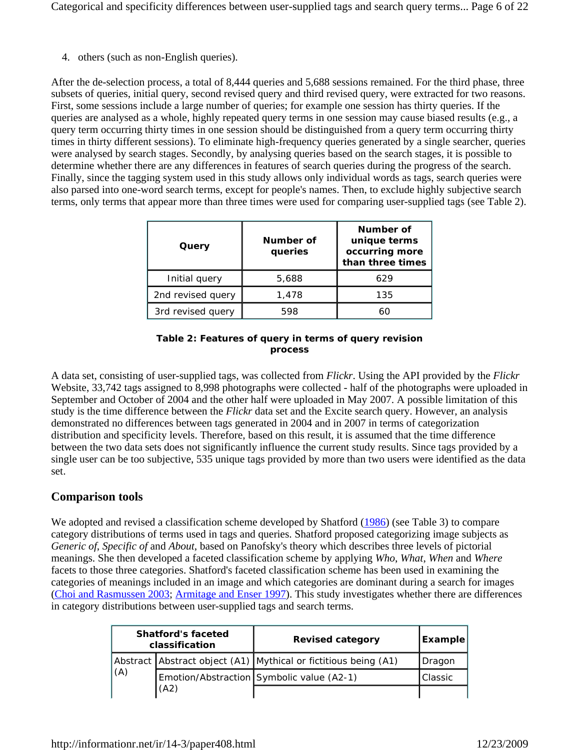Categorical and specificity differences between user-supplied tags and search query terms... Page 6 of 22

4. others (such as non-English queries).

After the de-selection process, a total of 8,444 queries and 5,688 sessions remained. For the third phase, three subsets of queries, initial query, second revised query and third revised query, were extracted for two reasons. First, some sessions include a large number of queries; for example one session has thirty queries. If the queries are analysed as a whole, highly repeated query terms in one session may cause biased results (e.g., a query term occurring thirty times in one session should be distinguished from a query term occurring thirty times in thirty different sessions). To eliminate high-frequency queries generated by a single searcher, queries were analysed by search stages. Secondly, by analysing queries based on the search stages, it is possible to determine whether there are any differences in features of search queries during the progress of the search. Finally, since the tagging system used in this study allows only individual words as tags, search queries were also parsed into one-word search terms, except for people's names. Then, to exclude highly subjective search terms, only terms that appear more than three times were used for comparing user-supplied tags (see Table 2).

| Query             | Number of<br>queries | Number of<br>unique terms<br>occurring more<br>than three times |  |
|-------------------|----------------------|-----------------------------------------------------------------|--|
| Initial query     | 5,688                | 629                                                             |  |
| 2nd revised query | 1,478                | 135                                                             |  |
| 3rd revised query | 598                  | 60                                                              |  |

### **Table 2: Features of query in terms of query revision process**

A data set, consisting of user-supplied tags, was collected from *Flickr*. Using the API provided by the *Flickr* Website, 33,742 tags assigned to 8,998 photographs were collected - half of the photographs were uploaded in September and October of 2004 and the other half were uploaded in May 2007. A possible limitation of this study is the time difference between the *Flickr* data set and the Excite search query. However, an analysis demonstrated no differences between tags generated in 2004 and in 2007 in terms of categorization distribution and specificity levels. Therefore, based on this result, it is assumed that the time difference between the two data sets does not significantly influence the current study results. Since tags provided by a single user can be too subjective, 535 unique tags provided by more than two users were identified as the data set.

### **Comparison tools**

We adopted and revised a classification scheme developed by Shatford (1986) (see Table 3) to compare category distributions of terms used in tags and queries. Shatford proposed categorizing image subjects as *Generic of*, *Specific of* and *About*, based on Panofsky's theory which describes three levels of pictorial meanings. She then developed a faceted classification scheme by applying *Who*, *What*, *When* and *Where* facets to those three categories. Shatford's faceted classification scheme has been used in examining the categories of meanings included in an image and which categories are dominant during a search for images (Choi and Rasmussen 2003; Armitage and Enser 1997). This study investigates whether there are differences in category distributions between user-supplied tags and search terms.

|     | <b>Shatford's faceted</b><br>classification | <b>Revised category</b>                                         | <b>Example</b>  |
|-----|---------------------------------------------|-----------------------------------------------------------------|-----------------|
|     |                                             | Abstract Abstract object (A1) Mythical or fictitious being (A1) | <b>I</b> Dragon |
| (A) |                                             | Emotion/Abstraction Symbolic value (A2-1)                       | Classic         |
|     | (A2)                                        |                                                                 |                 |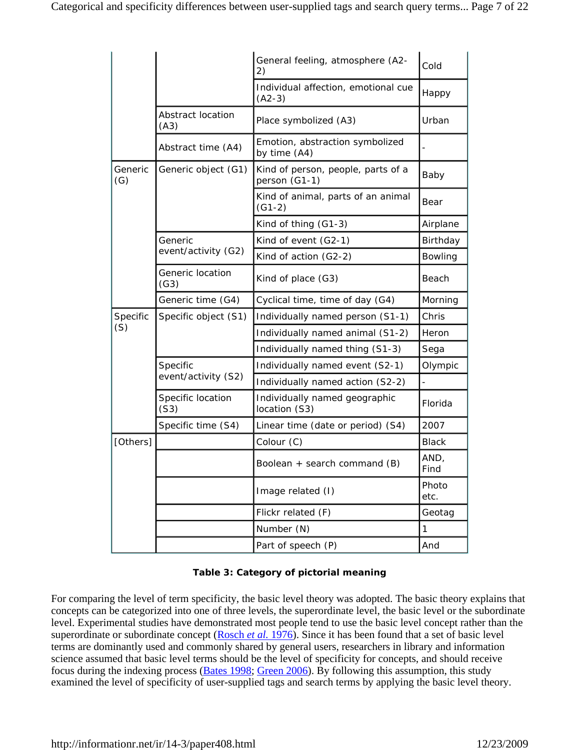|                          |                           | General feeling, atmosphere (A2-<br>2)              | Cold                     |
|--------------------------|---------------------------|-----------------------------------------------------|--------------------------|
|                          |                           | Individual affection, emotional cue<br>$(A2-3)$     | Happy                    |
|                          | Abstract location<br>(A3) | Place symbolized (A3)                               | Urban                    |
|                          | Abstract time (A4)        | Emotion, abstraction symbolized<br>by time (A4)     |                          |
| Generic<br>(G)           | Generic object (G1)       | Kind of person, people, parts of a<br>person (G1-1) | Baby                     |
|                          |                           | Kind of animal, parts of an animal<br>$(G1-2)$      | Bear                     |
|                          |                           | Kind of thing (G1-3)                                | Airplane                 |
|                          | Generic                   | Kind of event (G2-1)                                | Birthday                 |
|                          | event/activity (G2)       | Kind of action (G2-2)                               | Bowling                  |
| Generic location<br>(G3) |                           | Kind of place (G3)                                  | Beach                    |
|                          | Generic time (G4)         | Cyclical time, time of day (G4)                     | Morning                  |
| Specific                 | Specific object (S1)      | Individually named person (S1-1)                    | Chris                    |
| (S)                      |                           | Individually named animal (S1-2)                    | Heron                    |
|                          |                           | Individually named thing (S1-3)                     | Sega                     |
|                          | Specific                  | Individually named event (S2-1)                     | Olympic                  |
|                          | event/activity (S2)       | Individually named action (S2-2)                    | $\overline{\phantom{a}}$ |
|                          | Specific location<br>(S3) | Individually named geographic<br>location (S3)      | Florida                  |
|                          | Specific time (S4)        | Linear time (date or period) (S4)                   | 2007                     |
| [Others]                 |                           | Colour (C)                                          | <b>Black</b>             |
|                          |                           | Boolean $+$ search command $(B)$                    | AND,<br>Find             |
|                          |                           | Image related (I)                                   | Photo<br>etc.            |
|                          |                           | Flickr related (F)                                  | Geotag                   |
|                          |                           | Number (N)                                          | $\mathbf{1}$             |
|                          |                           | Part of speech (P)                                  | And                      |

### **Table 3: Category of pictorial meaning**

For comparing the level of term specificity, the basic level theory was adopted. The basic theory explains that concepts can be categorized into one of three levels, the superordinate level, the basic level or the subordinate level. Experimental studies have demonstrated most people tend to use the basic level concept rather than the superordinate or subordinate concept (Rosch *et al.* 1976). Since it has been found that a set of basic level terms are dominantly used and commonly shared by general users, researchers in library and information science assumed that basic level terms should be the level of specificity for concepts, and should receive focus during the indexing process (Bates 1998; Green 2006). By following this assumption, this study examined the level of specificity of user-supplied tags and search terms by applying the basic level theory.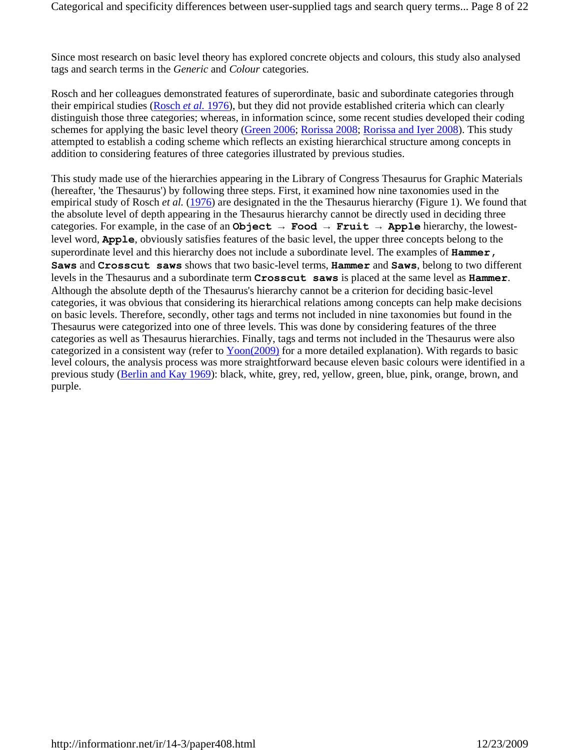Since most research on basic level theory has explored concrete objects and colours, this study also analysed tags and search terms in the *Generic* and *Colour* categories.

Rosch and her colleagues demonstrated features of superordinate, basic and subordinate categories through their empirical studies (Rosch *et al.* 1976), but they did not provide established criteria which can clearly distinguish those three categories; whereas, in information scince, some recent studies developed their coding schemes for applying the basic level theory (Green 2006; Rorissa 2008; Rorissa and Iyer 2008). This study attempted to establish a coding scheme which reflects an existing hierarchical structure among concepts in addition to considering features of three categories illustrated by previous studies.

This study made use of the hierarchies appearing in the Library of Congress Thesaurus for Graphic Materials (hereafter, 'the Thesaurus') by following three steps. First, it examined how nine taxonomies used in the empirical study of Rosch *et al.* (1976) are designated in the the Thesaurus hierarchy (Figure 1). We found that the absolute level of depth appearing in the Thesaurus hierarchy cannot be directly used in deciding three categories. For example, in the case of an **Object → Food → Fruit → Apple** hierarchy, the lowestlevel word, **Apple**, obviously satisfies features of the basic level, the upper three concepts belong to the superordinate level and this hierarchy does not include a subordinate level. The examples of **Hammer, Saws** and **Crosscut saws** shows that two basic-level terms, **Hammer** and **Saws**, belong to two different levels in the Thesaurus and a subordinate term **Crosscut saws** is placed at the same level as **Hammer**. Although the absolute depth of the Thesaurus's hierarchy cannot be a criterion for deciding basic-level categories, it was obvious that considering its hierarchical relations among concepts can help make decisions on basic levels. Therefore, secondly, other tags and terms not included in nine taxonomies but found in the Thesaurus were categorized into one of three levels. This was done by considering features of the three categories as well as Thesaurus hierarchies. Finally, tags and terms not included in the Thesaurus were also categorized in a consistent way (refer to Yoon(2009) for a more detailed explanation). With regards to basic level colours, the analysis process was more straightforward because eleven basic colours were identified in a previous study (Berlin and Kay 1969): black, white, grey, red, yellow, green, blue, pink, orange, brown, and purple.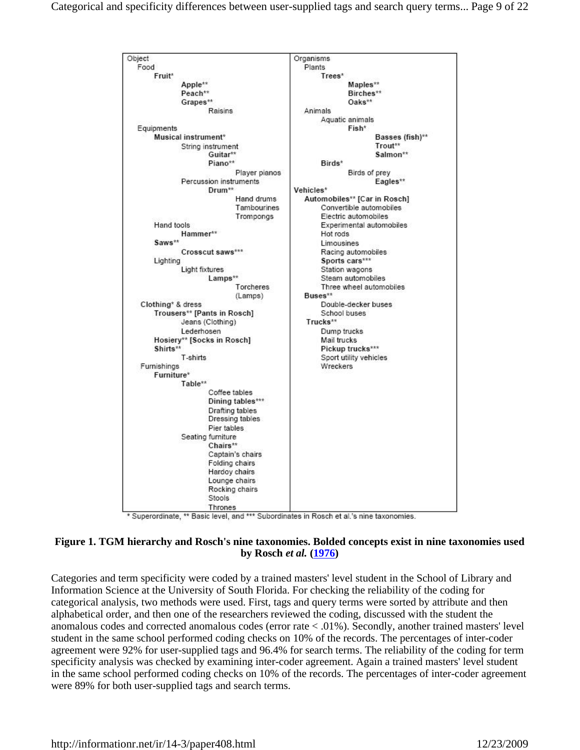

\* Superordinate, \*\* Basic level, and \*\*\* Subordinates in Rosch et al.'s nine taxonomies.

### **Figure 1. TGM hierarchy and Rosch's nine taxonomies. Bolded concepts exist in nine taxonomies used by Rosch** *et al.* **(1976)**

Categories and term specificity were coded by a trained masters' level student in the School of Library and Information Science at the University of South Florida. For checking the reliability of the coding for categorical analysis, two methods were used. First, tags and query terms were sorted by attribute and then alphabetical order, and then one of the researchers reviewed the coding, discussed with the student the anomalous codes and corrected anomalous codes (error rate < .01%). Secondly, another trained masters' level student in the same school performed coding checks on 10% of the records. The percentages of inter-coder agreement were 92% for user-supplied tags and 96.4% for search terms. The reliability of the coding for term specificity analysis was checked by examining inter-coder agreement. Again a trained masters' level student in the same school performed coding checks on 10% of the records. The percentages of inter-coder agreement were 89% for both user-supplied tags and search terms.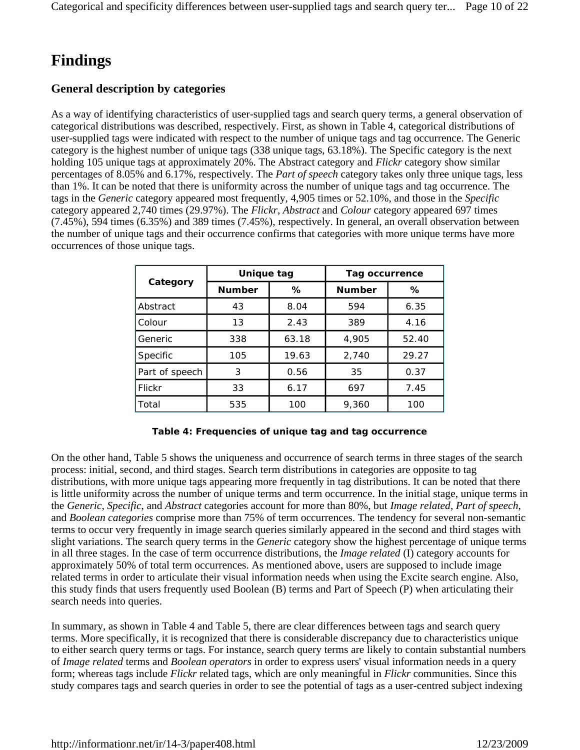# **Findings**

### **General description by categories**

As a way of identifying characteristics of user-supplied tags and search query terms, a general observation of categorical distributions was described, respectively. First, as shown in Table 4, categorical distributions of user-supplied tags were indicated with respect to the number of unique tags and tag occurrence. The Generic category is the highest number of unique tags (338 unique tags, 63.18%). The Specific category is the next holding 105 unique tags at approximately 20%. The Abstract category and *Flickr* category show similar percentages of 8.05% and 6.17%, respectively. The *Part of speech* category takes only three unique tags, less than 1%. It can be noted that there is uniformity across the number of unique tags and tag occurrence. The tags in the *Generic* category appeared most frequently, 4,905 times or 52.10%, and those in the *Specific* category appeared 2,740 times (29.97%). The *Flickr*, *Abstract* and *Colour* category appeared 697 times (7.45%), 594 times (6.35%) and 389 times (7.45%), respectively. In general, an overall observation between the number of unique tags and their occurrence confirms that categories with more unique terms have more occurrences of those unique tags.

|                | Unique tag         |       | Tag occurrence |       |  |
|----------------|--------------------|-------|----------------|-------|--|
| Category       | <b>Number</b><br>℅ |       | <b>Number</b>  | ℅     |  |
| Abstract       | 43                 | 8.04  | 594            | 6.35  |  |
| Colour         | 13                 | 2.43  | 389            | 4.16  |  |
| Generic        | 338                | 63.18 | 4.905          | 52.40 |  |
| Specific       | 105                | 19.63 | 2,740          | 29.27 |  |
| Part of speech | 3                  | 0.56  | 35             | 0.37  |  |
| Flickr         | 33                 | 6.17  | 697            | 7.45  |  |
| Total          | 535                | 100   | 9,360          | 100   |  |

#### **Table 4: Frequencies of unique tag and tag occurrence**

On the other hand, Table 5 shows the uniqueness and occurrence of search terms in three stages of the search process: initial, second, and third stages. Search term distributions in categories are opposite to tag distributions, with more unique tags appearing more frequently in tag distributions. It can be noted that there is little uniformity across the number of unique terms and term occurrence. In the initial stage, unique terms in the *Generic*, *Specific*, and *Abstract* categories account for more than 80%, but *Image related*, *Part of speech*, and *Boolean categories* comprise more than 75% of term occurrences. The tendency for several non-semantic terms to occur very frequently in image search queries similarly appeared in the second and third stages with slight variations. The search query terms in the *Generic* category show the highest percentage of unique terms in all three stages. In the case of term occurrence distributions, the *Image related* (I) category accounts for approximately 50% of total term occurrences. As mentioned above, users are supposed to include image related terms in order to articulate their visual information needs when using the Excite search engine. Also, this study finds that users frequently used Boolean (B) terms and Part of Speech (P) when articulating their search needs into queries.

In summary, as shown in Table 4 and Table 5, there are clear differences between tags and search query terms. More specifically, it is recognized that there is considerable discrepancy due to characteristics unique to either search query terms or tags. For instance, search query terms are likely to contain substantial numbers of *Image related* terms and *Boolean operators* in order to express users' visual information needs in a query form; whereas tags include *Flickr* related tags, which are only meaningful in *Flickr* communities. Since this study compares tags and search queries in order to see the potential of tags as a user-centred subject indexing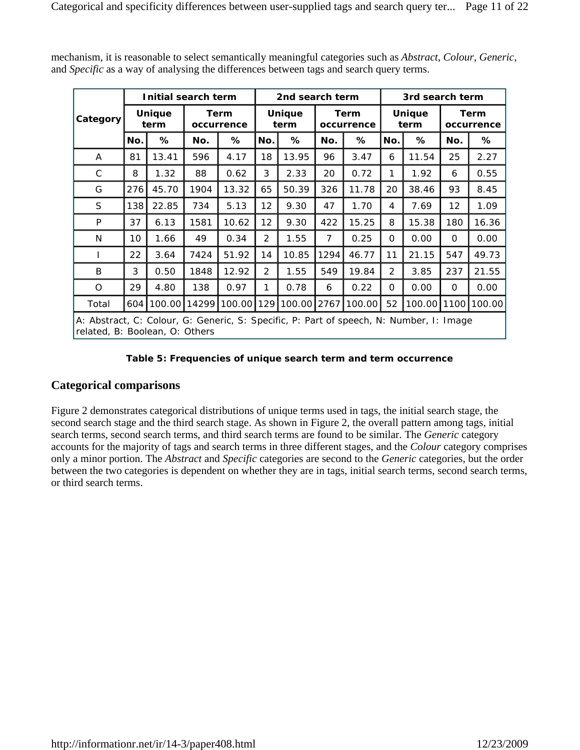|                                                                                                                           |     | Initial search term   |       |                           |                       | 2nd search term |                           |        |                       | 3rd search term |                           |        |
|---------------------------------------------------------------------------------------------------------------------------|-----|-----------------------|-------|---------------------------|-----------------------|-----------------|---------------------------|--------|-----------------------|-----------------|---------------------------|--------|
| Category                                                                                                                  |     | <b>Unique</b><br>term |       | <b>Term</b><br>occurrence | <b>Unique</b><br>term |                 | <b>Term</b><br>occurrence |        | <b>Unique</b><br>term |                 | <b>Term</b><br>occurrence |        |
|                                                                                                                           | No. | %                     | No.   | ℅                         | No.                   | %               | No.                       | %      | No.                   | ℅               | No.                       | %      |
| A                                                                                                                         | 81  | 13.41                 | 596   | 4.17                      | 18                    | 13.95           | 96                        | 3.47   | 6                     | 11.54           | 25                        | 2.27   |
| C                                                                                                                         | 8   | 1.32                  | 88    | 0.62                      | 3                     | 2.33            | 20                        | 0.72   | 1                     | 1.92            | 6                         | 0.55   |
| G                                                                                                                         | 276 | 45.70                 | 1904  | 13.32                     | 65                    | 50.39           | 326                       | 11.78  | 20                    | 38.46           | 93                        | 8.45   |
| S.                                                                                                                        | 138 | 22.85                 | 734   | 5.13                      | $12 \overline{ }$     | 9.30            | 47                        | 1.70   | 4                     | 7.69            | 12                        | 1.09   |
| P                                                                                                                         | 37  | 6.13                  | 1581  | 10.62                     | $12 \overline{ }$     | 9.30            | 422                       | 15.25  | 8                     | 15.38           | 180                       | 16.36  |
| N                                                                                                                         | 10  | 1.66                  | 49    | 0.34                      | 2                     | 1.55            | 7                         | 0.25   | 0                     | 0.00            | 0                         | 0.00   |
| L                                                                                                                         | 22  | 3.64                  | 7424  | 51.92                     | 14                    | 10.85           | 1294                      | 46.77  | 11                    | 21.15           | 547                       | 49.73  |
| B                                                                                                                         | 3   | 0.50                  | 1848  | 12.92                     | 2                     | 1.55            | 549                       | 19.84  | $\overline{2}$        | 3.85            | 237                       | 21.55  |
| O                                                                                                                         | 29  | 4.80                  | 138   | 0.97                      | 1                     | 0.78            | 6                         | 0.22   | 0                     | 0.00            | $\Omega$                  | 0.00   |
| Total                                                                                                                     | 604 | 100.00                | 14299 | 100.00                    | 129                   | 100.00          | 2767                      | 100.00 | 52                    | 100.00          | 1100                      | 100.00 |
| A: Abstract, C: Colour, G: Generic, S: Specific, P: Part of speech, N: Number, I: Image<br>related, B: Boolean, O: Others |     |                       |       |                           |                       |                 |                           |        |                       |                 |                           |        |

mechanism, it is reasonable to select semantically meaningful categories such as *Abstract*, *Colour*, *Generic*, and *Specific* as a way of analysing the differences between tags and search query terms.

#### **Table 5: Frequencies of unique search term and term occurrence**

### **Categorical comparisons**

Figure 2 demonstrates categorical distributions of unique terms used in tags, the initial search stage, the second search stage and the third search stage. As shown in Figure 2, the overall pattern among tags, initial search terms, second search terms, and third search terms are found to be similar. The *Generic* category accounts for the majority of tags and search terms in three different stages, and the *Colour* category comprises only a minor portion. The *Abstract* and *Specific* categories are second to the *Generic* categories, but the order between the two categories is dependent on whether they are in tags, initial search terms, second search terms, or third search terms.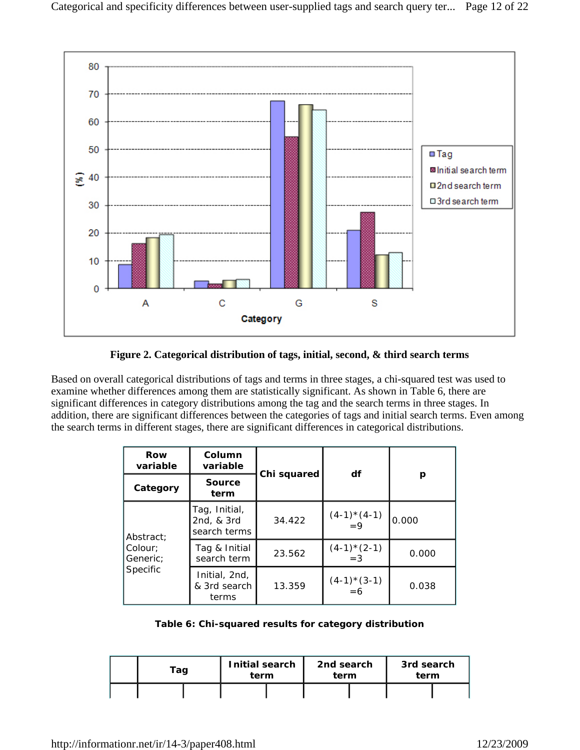

### **Figure 2. Categorical distribution of tags, initial, second, & third search terms**

Based on overall categorical distributions of tags and terms in three stages, a chi-squared test was used to examine whether differences among them are statistically significant. As shown in Table 6, there are significant differences in category distributions among the tag and the search terms in three stages. In addition, there are significant differences between the categories of tags and initial search terms. Even among the search terms in different stages, there are significant differences in categorical distributions.

| Row<br>variable     | Column<br>variable                          | Chi squared | df                  |       |  |
|---------------------|---------------------------------------------|-------------|---------------------|-------|--|
| Category            | Source<br>term                              |             |                     | р     |  |
| Abstract:           | Tag, Initial,<br>2nd, & 3rd<br>search terms | 34.422      | $(4-1)*(4-1)$<br>=9 | 0.000 |  |
| Colour:<br>Generic: | Tag & Initial<br>search term                | 23.562      | $(4-1)*(2-1)$<br>=3 | 0.000 |  |
| Specific            | Initial, 2nd,<br>& 3rd search<br>terms      | 13.359      | $(4-1)*(3-1)$<br>=6 | 0.038 |  |

#### **Table 6: Chi-squared results for category distribution**

| Tag | Initial search<br>term |  | 2nd search<br>term |  | 3rd search<br>term |  |
|-----|------------------------|--|--------------------|--|--------------------|--|
|     |                        |  |                    |  |                    |  |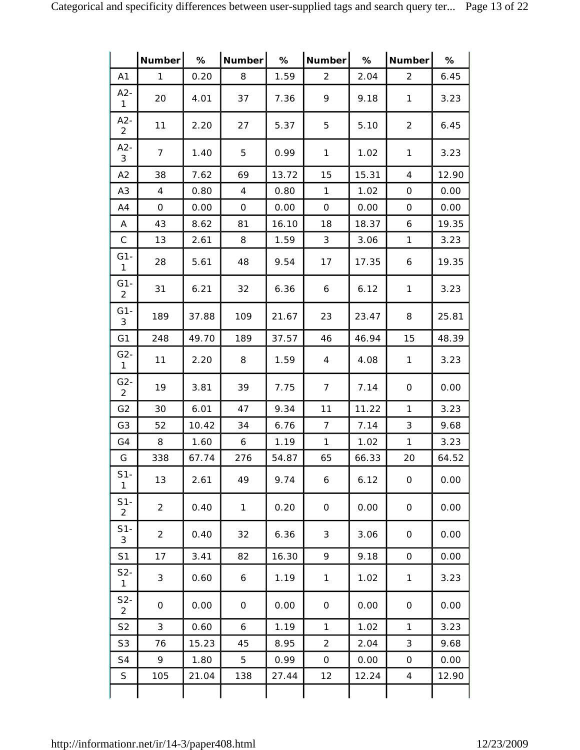|                          | Number         | %     | Number       | %     | Number l       | $\%$  | Number         | %     |
|--------------------------|----------------|-------|--------------|-------|----------------|-------|----------------|-------|
| A1                       | $\mathbf{1}$   | 0.20  | 8            | 1.59  | 2              | 2.04  | $\overline{2}$ | 6.45  |
| $A2-$<br>$\mathbf{1}$    | 20             | 4.01  | 37           | 7.36  | 9              | 9.18  | $\mathbf{1}$   | 3.23  |
| $A2-$<br>$\overline{2}$  | 11             | 2.20  | 27           | 5.37  | 5              | 5.10  | 2              | 6.45  |
| $A2-$<br>3               | $\overline{7}$ | 1.40  | 5            | 0.99  | $\mathbf{1}$   | 1.02  | $\mathbf{1}$   | 3.23  |
| A2                       | 38             | 7.62  | 69           | 13.72 | 15             | 15.31 | 4              | 12.90 |
| A <sub>3</sub>           | 4              | 0.80  | 4            | 0.80  | 1              | 1.02  | 0              | 0.00  |
| A4                       | $\mathbf 0$    | 0.00  | 0            | 0.00  | 0              | 0.00  | 0              | 0.00  |
| Α                        | 43             | 8.62  | 81           | 16.10 | 18             | 18.37 | 6              | 19.35 |
| $\mathsf C$              | 13             | 2.61  | 8            | 1.59  | 3              | 3.06  | $\mathbf{1}$   | 3.23  |
| $G1-$<br>$\mathbf{1}$    | 28             | 5.61  | 48           | 9.54  | 17             | 17.35 | 6              | 19.35 |
| $G1 -$<br>$\overline{2}$ | 31             | 6.21  | 32           | 6.36  | 6              | 6.12  | $\mathbf{1}$   | 3.23  |
| $G1 -$<br>3              | 189            | 37.88 | 109          | 21.67 | 23             | 23.47 | 8              | 25.81 |
| G <sub>1</sub>           | 248            | 49.70 | 189          | 37.57 | 46             | 46.94 | 15             | 48.39 |
| $G2 -$<br>$\mathbf{1}$   | 11             | 2.20  | 8            | 1.59  | 4              | 4.08  | $\mathbf{1}$   | 3.23  |
| $G2 -$<br>$\overline{2}$ | 19             | 3.81  | 39           | 7.75  | $\overline{7}$ | 7.14  | 0              | 0.00  |
| G <sub>2</sub>           | 30             | 6.01  | 47           | 9.34  | 11             | 11.22 | $\mathbf{1}$   | 3.23  |
| G <sub>3</sub>           | 52             | 10.42 | 34           | 6.76  | $\overline{7}$ | 7.14  | 3              | 9.68  |
| G4                       | 8              | 1.60  | 6            | 1.19  | $\mathbf{1}$   | 1.02  | $\mathbf{1}$   | 3.23  |
| G                        | 338            | 67.74 | 276          | 54.87 | 65             | 66.33 | 20             | 64.52 |
| $S1-$<br>$\mathbf{1}$    | 13             | 2.61  | 49           | 9.74  | 6              | 6.12  | $\mbox{O}$     | 0.00  |
| $S1-$<br>$\overline{2}$  | $\overline{2}$ | 0.40  | $\mathbf{1}$ | 0.20  | 0              | 0.00  | $\mathbf{O}$   | 0.00  |
| $S1-$<br>$\mathfrak{Z}$  | $\overline{2}$ | 0.40  | 32           | 6.36  | 3              | 3.06  | $\mbox{O}$     | 0.00  |
| S1                       | 17             | 3.41  | 82           | 16.30 | 9              | 9.18  | $\mathbf 0$    | 0.00  |
| $S2-$<br>$\mathbf{1}$    | 3              | 0.60  | 6            | 1.19  | $\mathbf{1}$   | 1.02  | $\mathbf{1}$   | 3.23  |
| $S2-$<br>$\overline{c}$  | 0              | 0.00  | 0            | 0.00  | 0              | 0.00  | 0              | 0.00  |
| S <sub>2</sub>           | 3              | 0.60  | 6            | 1.19  | $\mathbf{1}$   | 1.02  | $\mathbf{1}$   | 3.23  |
| S <sub>3</sub>           | 76             | 15.23 | 45           | 8.95  | $\overline{2}$ | 2.04  | 3              | 9.68  |
| S4                       | 9              | 1.80  | 5            | 0.99  | 0              | 0.00  | $\mathsf O$    | 0.00  |
| S                        | 105            | 21.04 | 138          | 27.44 | 12             | 12.24 | $\overline{4}$ | 12.90 |
|                          |                |       |              |       |                |       |                |       |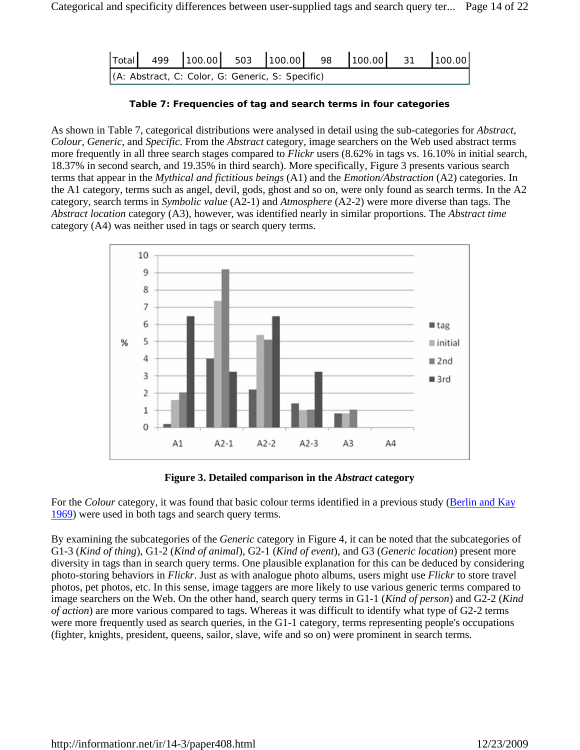| (A: Abstract, C: Color, G: Generic, S: Specific) |  |  |  |  |
|--------------------------------------------------|--|--|--|--|

**Table 7: Frequencies of tag and search terms in four categories**

As shown in Table 7, categorical distributions were analysed in detail using the sub-categories for *Abstract*, *Colour, Generic*, and *Specific*. From the *Abstract* category, image searchers on the Web used abstract terms more frequently in all three search stages compared to *Flickr* users (8.62% in tags vs. 16.10% in initial search, 18.37% in second search, and 19.35% in third search). More specifically, Figure 3 presents various search terms that appear in the *Mythical and fictitious beings* (A1) and the *Emotion/Abstraction* (A2) categories. In the A1 category, terms such as angel, devil, gods, ghost and so on, were only found as search terms. In the A2 category, search terms in *Symbolic value* (A2-1) and *Atmosphere* (A2-2) were more diverse than tags. The *Abstract location* category (A3), however, was identified nearly in similar proportions. The *Abstract time* category (A4) was neither used in tags or search query terms.



**Figure 3. Detailed comparison in the** *Abstract* **category**

For the *Colour* category, it was found that basic colour terms identified in a previous study (Berlin and Kay 1969) were used in both tags and search query terms.

By examining the subcategories of the *Generic* category in Figure 4, it can be noted that the subcategories of G1-3 (*Kind of thing*), G1-2 (*Kind of animal*), G2-1 (*Kind of event*), and G3 (*Generic location*) present more diversity in tags than in search query terms. One plausible explanation for this can be deduced by considering photo-storing behaviors in *Flickr*. Just as with analogue photo albums, users might use *Flickr* to store travel photos, pet photos, etc. In this sense, image taggers are more likely to use various generic terms compared to image searchers on the Web. On the other hand, search query terms in G1-1 (*Kind of person*) and G2-2 (*Kind of action*) are more various compared to tags. Whereas it was difficult to identify what type of G2-2 terms were more frequently used as search queries, in the G1-1 category, terms representing people's occupations (fighter, knights, president, queens, sailor, slave, wife and so on) were prominent in search terms.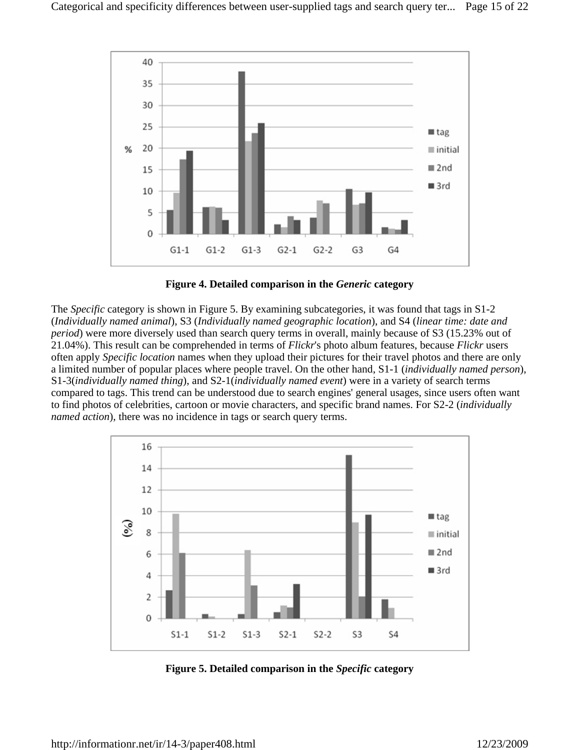

**Figure 4. Detailed comparison in the** *Generic* **category**

The *Specific* category is shown in Figure 5. By examining subcategories, it was found that tags in S1-2 (*Individually named animal*), S3 (*Individually named geographic location*), and S4 (*linear time: date and period*) were more diversely used than search query terms in overall, mainly because of S3 (15.23% out of 21.04%). This result can be comprehended in terms of *Flickr*'s photo album features, because *Flickr* users often apply *Specific location* names when they upload their pictures for their travel photos and there are only a limited number of popular places where people travel. On the other hand, S1-1 (*individually named person*), S1-3(*individually named thing*), and S2-1(*individually named event*) were in a variety of search terms compared to tags. This trend can be understood due to search engines' general usages, since users often want to find photos of celebrities, cartoon or movie characters, and specific brand names. For S2-2 (*individually named action*), there was no incidence in tags or search query terms.



**Figure 5. Detailed comparison in the** *Specific* **category**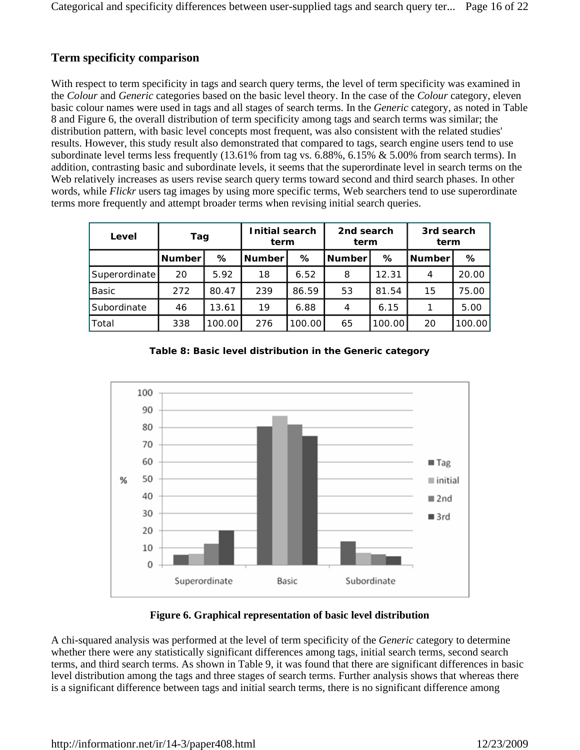### **Term specificity comparison**

With respect to term specificity in tags and search query terms, the level of term specificity was examined in the *Colour* and *Generic* categories based on the basic level theory. In the case of the *Colour* category, eleven basic colour names were used in tags and all stages of search terms. In the *Generic* category, as noted in Table 8 and Figure 6, the overall distribution of term specificity among tags and search terms was similar; the distribution pattern, with basic level concepts most frequent, was also consistent with the related studies' results. However, this study result also demonstrated that compared to tags, search engine users tend to use subordinate level terms less frequently (13.61% from tag vs. 6.88%, 6.15% & 5.00% from search terms). In addition, contrasting basic and subordinate levels, it seems that the superordinate level in search terms on the Web relatively increases as users revise search query terms toward second and third search phases. In other words, while *Flickr* users tag images by using more specific terms, Web searchers tend to use superordinate terms more frequently and attempt broader terms when revising initial search queries.

| Level         | Tag           |        | Initial search<br>term |        | 2nd search<br>term |        | 3rd search<br>term |        |
|---------------|---------------|--------|------------------------|--------|--------------------|--------|--------------------|--------|
|               | <b>Number</b> | ℅      | <b>Number</b>          | %      | <b>Number</b>      | ℅      | <b>Number</b>      | %      |
| Superordinate | 20            | 5.92   | 18                     | 6.52   | 8                  | 12.31  | 4                  | 20.00  |
| <b>Basic</b>  | 272           | 80.47  | 239                    | 86.59  | 53                 | 81.54  | 15                 | 75.00  |
| Subordinate   | 46            | 13.61  | 19                     | 6.88   | 4                  | 6.15   |                    | 5.00   |
| Total         | 338           | 100.00 | 276                    | 100.00 | 65                 | 100.00 | 20                 | 100.00 |





### **Figure 6. Graphical representation of basic level distribution**

A chi-squared analysis was performed at the level of term specificity of the *Generic* category to determine whether there were any statistically significant differences among tags, initial search terms, second search terms, and third search terms. As shown in Table 9, it was found that there are significant differences in basic level distribution among the tags and three stages of search terms. Further analysis shows that whereas there is a significant difference between tags and initial search terms, there is no significant difference among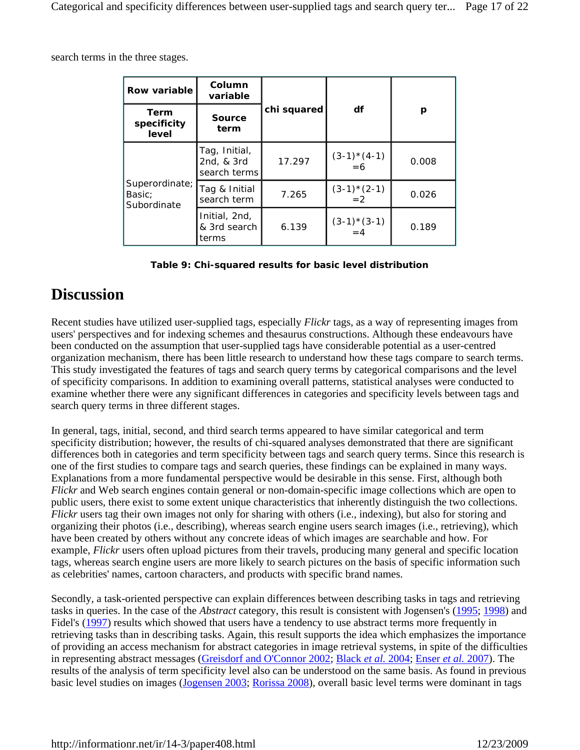search terms in the three stages.

| Row variable                            | Column<br>variable                          |             |                      |       |  |
|-----------------------------------------|---------------------------------------------|-------------|----------------------|-------|--|
| <b>Term</b><br>specificity<br>level     | <b>Source</b><br>term                       | chi squared | df                   | р     |  |
|                                         | Tag, Initial,<br>2nd, & 3rd<br>search terms | 17.297      | $(3-1)*(4-1)$<br>=6  | 0.008 |  |
| Superordinate;<br>Basic;<br>Subordinate | Tag & Initial<br>search term                | 7.265       | $(3-1)*(2-1) = 2$    | 0.026 |  |
|                                         | Initial, 2nd,<br>& 3rd search<br>terms      | 6.139       | $(3-1)*(3-1)$<br>= 4 | 0.189 |  |

| Table 9: Chi-squared results for basic level distribution |  |  |  |
|-----------------------------------------------------------|--|--|--|
|-----------------------------------------------------------|--|--|--|

### **Discussion**

Recent studies have utilized user-supplied tags, especially *Flickr* tags, as a way of representing images from users' perspectives and for indexing schemes and thesaurus constructions. Although these endeavours have been conducted on the assumption that user-supplied tags have considerable potential as a user-centred organization mechanism, there has been little research to understand how these tags compare to search terms. This study investigated the features of tags and search query terms by categorical comparisons and the level of specificity comparisons. In addition to examining overall patterns, statistical analyses were conducted to examine whether there were any significant differences in categories and specificity levels between tags and search query terms in three different stages.

In general, tags, initial, second, and third search terms appeared to have similar categorical and term specificity distribution; however, the results of chi-squared analyses demonstrated that there are significant differences both in categories and term specificity between tags and search query terms. Since this research is one of the first studies to compare tags and search queries, these findings can be explained in many ways. Explanations from a more fundamental perspective would be desirable in this sense. First, although both *Flickr* and Web search engines contain general or non-domain-specific image collections which are open to public users, there exist to some extent unique characteristics that inherently distinguish the two collections. *Flickr* users tag their own images not only for sharing with others (i.e., indexing), but also for storing and organizing their photos (i.e., describing), whereas search engine users search images (i.e., retrieving), which have been created by others without any concrete ideas of which images are searchable and how. For example, *Flickr* users often upload pictures from their travels, producing many general and specific location tags, whereas search engine users are more likely to search pictures on the basis of specific information such as celebrities' names, cartoon characters, and products with specific brand names.

Secondly, a task-oriented perspective can explain differences between describing tasks in tags and retrieving tasks in queries. In the case of the *Abstract* category, this result is consistent with Jogensen's (1995; 1998) and Fidel's (1997) results which showed that users have a tendency to use abstract terms more frequently in retrieving tasks than in describing tasks. Again, this result supports the idea which emphasizes the importance of providing an access mechanism for abstract categories in image retrieval systems, in spite of the difficulties in representing abstract messages (Greisdorf and O'Connor 2002; Black *et al.* 2004; Enser *et al.* 2007). The results of the analysis of term specificity level also can be understood on the same basis. As found in previous basic level studies on images (Jogensen 2003; Rorissa 2008), overall basic level terms were dominant in tags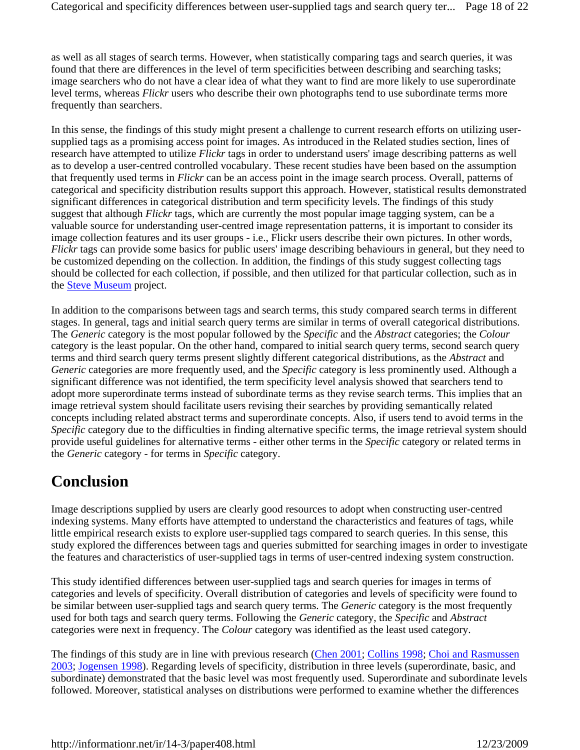as well as all stages of search terms. However, when statistically comparing tags and search queries, it was found that there are differences in the level of term specificities between describing and searching tasks; image searchers who do not have a clear idea of what they want to find are more likely to use superordinate level terms, whereas *Flickr* users who describe their own photographs tend to use subordinate terms more frequently than searchers.

In this sense, the findings of this study might present a challenge to current research efforts on utilizing usersupplied tags as a promising access point for images. As introduced in the Related studies section, lines of research have attempted to utilize *Flickr* tags in order to understand users' image describing patterns as well as to develop a user-centred controlled vocabulary. These recent studies have been based on the assumption that frequently used terms in *Flickr* can be an access point in the image search process. Overall, patterns of categorical and specificity distribution results support this approach. However, statistical results demonstrated significant differences in categorical distribution and term specificity levels. The findings of this study suggest that although *Flickr* tags, which are currently the most popular image tagging system, can be a valuable source for understanding user-centred image representation patterns, it is important to consider its image collection features and its user groups - i.e., Flickr users describe their own pictures. In other words, *Flickr* tags can provide some basics for public users' image describing behaviours in general, but they need to be customized depending on the collection. In addition, the findings of this study suggest collecting tags should be collected for each collection, if possible, and then utilized for that particular collection, such as in the Steve Museum project.

In addition to the comparisons between tags and search terms, this study compared search terms in different stages. In general, tags and initial search query terms are similar in terms of overall categorical distributions. The *Generic* category is the most popular followed by the *Specific* and the *Abstract* categories; the *Colour* category is the least popular. On the other hand, compared to initial search query terms, second search query terms and third search query terms present slightly different categorical distributions, as the *Abstract* and *Generic* categories are more frequently used, and the *Specific* category is less prominently used. Although a significant difference was not identified, the term specificity level analysis showed that searchers tend to adopt more superordinate terms instead of subordinate terms as they revise search terms. This implies that an image retrieval system should facilitate users revising their searches by providing semantically related concepts including related abstract terms and superordinate concepts. Also, if users tend to avoid terms in the *Specific* category due to the difficulties in finding alternative specific terms, the image retrieval system should provide useful guidelines for alternative terms - either other terms in the *Specific* category or related terms in the *Generic* category - for terms in *Specific* category.

# **Conclusion**

Image descriptions supplied by users are clearly good resources to adopt when constructing user-centred indexing systems. Many efforts have attempted to understand the characteristics and features of tags, while little empirical research exists to explore user-supplied tags compared to search queries. In this sense, this study explored the differences between tags and queries submitted for searching images in order to investigate the features and characteristics of user-supplied tags in terms of user-centred indexing system construction.

This study identified differences between user-supplied tags and search queries for images in terms of categories and levels of specificity. Overall distribution of categories and levels of specificity were found to be similar between user-supplied tags and search query terms. The *Generic* category is the most frequently used for both tags and search query terms. Following the *Generic* category, the *Specific* and *Abstract* categories were next in frequency. The *Colour* category was identified as the least used category.

The findings of this study are in line with previous research (Chen 2001; Collins 1998; Choi and Rasmussen 2003; Jogensen 1998). Regarding levels of specificity, distribution in three levels (superordinate, basic, and subordinate) demonstrated that the basic level was most frequently used. Superordinate and subordinate levels followed. Moreover, statistical analyses on distributions were performed to examine whether the differences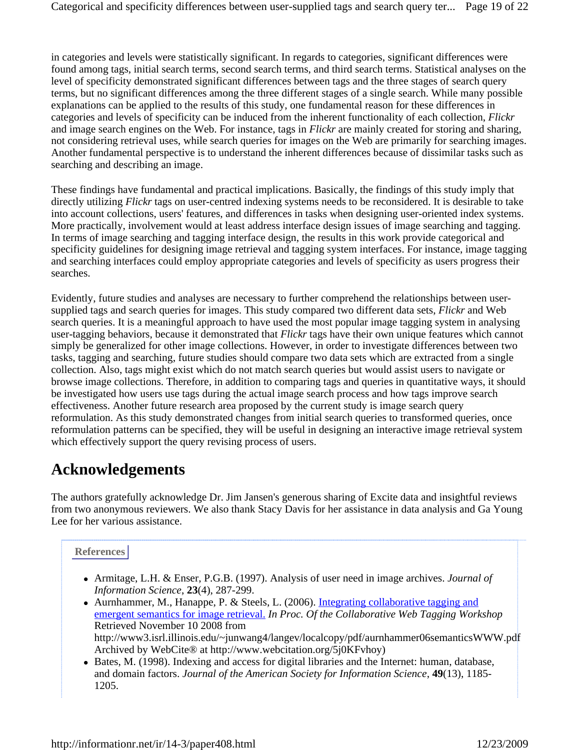in categories and levels were statistically significant. In regards to categories, significant differences were found among tags, initial search terms, second search terms, and third search terms. Statistical analyses on the level of specificity demonstrated significant differences between tags and the three stages of search query terms, but no significant differences among the three different stages of a single search. While many possible explanations can be applied to the results of this study, one fundamental reason for these differences in categories and levels of specificity can be induced from the inherent functionality of each collection, *Flickr* and image search engines on the Web. For instance, tags in *Flickr* are mainly created for storing and sharing, not considering retrieval uses, while search queries for images on the Web are primarily for searching images. Another fundamental perspective is to understand the inherent differences because of dissimilar tasks such as searching and describing an image.

These findings have fundamental and practical implications. Basically, the findings of this study imply that directly utilizing *Flickr* tags on user-centred indexing systems needs to be reconsidered. It is desirable to take into account collections, users' features, and differences in tasks when designing user-oriented index systems. More practically, involvement would at least address interface design issues of image searching and tagging. In terms of image searching and tagging interface design, the results in this work provide categorical and specificity guidelines for designing image retrieval and tagging system interfaces. For instance, image tagging and searching interfaces could employ appropriate categories and levels of specificity as users progress their searches.

Evidently, future studies and analyses are necessary to further comprehend the relationships between usersupplied tags and search queries for images. This study compared two different data sets, *Flickr* and Web search queries. It is a meaningful approach to have used the most popular image tagging system in analysing user-tagging behaviors, because it demonstrated that *Flickr* tags have their own unique features which cannot simply be generalized for other image collections. However, in order to investigate differences between two tasks, tagging and searching, future studies should compare two data sets which are extracted from a single collection. Also, tags might exist which do not match search queries but would assist users to navigate or browse image collections. Therefore, in addition to comparing tags and queries in quantitative ways, it should be investigated how users use tags during the actual image search process and how tags improve search effectiveness. Another future research area proposed by the current study is image search query reformulation. As this study demonstrated changes from initial search queries to transformed queries, once reformulation patterns can be specified, they will be useful in designing an interactive image retrieval system which effectively support the query revising process of users.

# **Acknowledgements**

The authors gratefully acknowledge Dr. Jim Jansen's generous sharing of Excite data and insightful reviews from two anonymous reviewers. We also thank Stacy Davis for her assistance in data analysis and Ga Young Lee for her various assistance.

### **References**

- Armitage, L.H. & Enser, P.G.B. (1997). Analysis of user need in image archives. *Journal of Information Science*, **23**(4), 287-299.
- Aurnhammer, M., Hanappe, P. & Steels, L. (2006). Integrating collaborative tagging and emergent semantics for image retrieval. *In Proc. Of the Collaborative Web Tagging Workshop* Retrieved November 10 2008 from http://www3.isrl.illinois.edu/~junwang4/langev/localcopy/pdf/aurnhammer06semanticsWWW.pdf Archived by WebCite® at http://www.webcitation.org/5j0KFvhoy)
- Bates, M. (1998). Indexing and access for digital libraries and the Internet: human, database, and domain factors. *Journal of the American Society for Information Science*, **49**(13), 1185- 1205.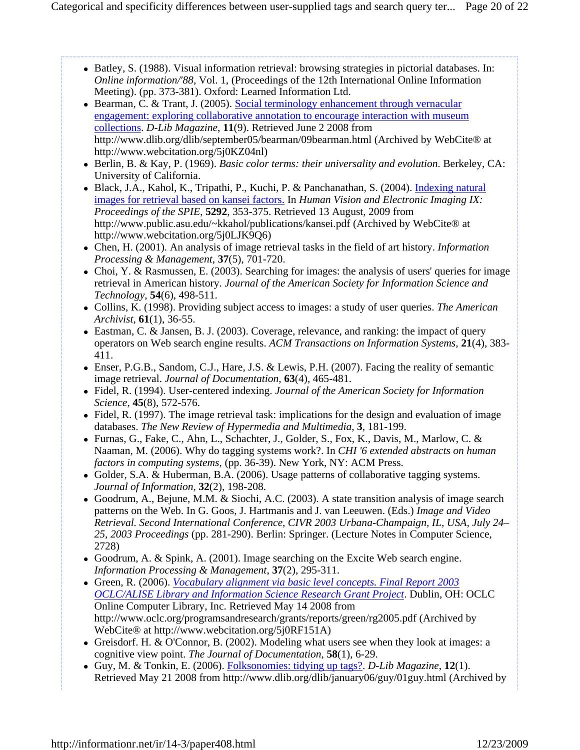- Batley, S. (1988). Visual information retrieval: browsing strategies in pictorial databases. In: *Online information/'88*, Vol. 1, (Proceedings of the 12th International Online Information Meeting). (pp. 373-381). Oxford: Learned Information Ltd.
- Bearman, C. & Trant, J. (2005). Social terminology enhancement through vernacular engagement: exploring collaborative annotation to encourage interaction with museum collections. *D-Lib Magazine*, **11**(9). Retrieved June 2 2008 from http://www.dlib.org/dlib/september05/bearman/09bearman.html (Archived by WebCite® at http://www.webcitation.org/5j0KZ04nl)
- Berlin, B. & Kay, P. (1969). *Basic color terms: their universality and evolution*. Berkeley, CA: University of California.
- Black, J.A., Kahol, K., Tripathi, P., Kuchi, P. & Panchanathan, S. (2004). *Indexing natural* images for retrieval based on kansei factors. In *Human Vision and Electronic Imaging IX: Proceedings of the SPIE*, **5292**, 353-375. Retrieved 13 August, 2009 from http://www.public.asu.edu/~kkahol/publications/kansei.pdf (Archived by WebCite® at http://www.webcitation.org/5j0LJK9Q6)
- Chen, H. (2001). An analysis of image retrieval tasks in the field of art history. *Information Processing & Management*, **37**(5), 701-720.
- Choi, Y. & Rasmussen, E. (2003). Searching for images: the analysis of users' queries for image retrieval in American history. *Journal of the American Society for Information Science and Technology*, **54**(6), 498-511.
- Collins, K. (1998). Providing subject access to images: a study of user queries. *The American Archivist*, **61**(1), 36-55.
- Eastman, C. & Jansen, B. J. (2003). Coverage, relevance, and ranking: the impact of query operators on Web search engine results. *ACM Transactions on Information Systems*, **21**(4), 383- 411.
- Enser, P.G.B., Sandom, C.J., Hare, J.S. & Lewis, P.H. (2007). Facing the reality of semantic image retrieval. *Journal of Documentation*, **63**(4), 465-481.
- Fidel, R. (1994). User-centered indexing. *Journal of the American Society for Information Science*, **45**(8), 572-576.
- Fidel, R. (1997). The image retrieval task: implications for the design and evaluation of image databases. *The New Review of Hypermedia and Multimedia*, **3**, 181-199.
- Furnas, G., Fake, C., Ahn, L., Schachter, J., Golder, S., Fox, K., Davis, M., Marlow, C. & Naaman, M. (2006). Why do tagging systems work?. In *CHI '6 extended abstracts on human factors in computing systems*, (pp. 36-39). New York, NY: ACM Press.
- Golder, S.A. & Huberman, B.A. (2006). Usage patterns of collaborative tagging systems. *Journal of Information*, **32**(2), 198-208.
- Goodrum, A., Bejune, M.M. & Siochi, A.C. (2003). A state transition analysis of image search patterns on the Web. In G. Goos, J. Hartmanis and J. van Leeuwen. (Eds.) *Image and Video Retrieval. Second International Conference, CIVR 2003 Urbana-Champaign, IL, USA, July 24– 25, 2003 Proceedings* (pp. 281-290). Berlin: Springer. (Lecture Notes in Computer Science, 2728)
- Goodrum, A. & Spink, A.  $(2001)$ . Image searching on the Excite Web search engine. *Information Processing & Management*, **37**(2), 295-311.
- Green, R. (2006). *Vocabulary alignment via basic level concepts. Final Report 2003 OCLC/ALISE Library and Information Science Research Grant Project*. Dublin, OH: OCLC Online Computer Library, Inc. Retrieved May 14 2008 from http://www.oclc.org/programsandresearch/grants/reports/green/rg2005.pdf (Archived by WebCite® at http://www.webcitation.org/5j0RF151A)
- Greisdorf. H. & O'Connor, B. (2002). Modeling what users see when they look at images: a cognitive view point. *The Journal of Documentation*, **58**(1), 6-29.
- Guy, M. & Tonkin, E. (2006). Folksonomies: tidying up tags?. *D-Lib Magazine*, **12**(1). Retrieved May 21 2008 from http://www.dlib.org/dlib/january06/guy/01guy.html (Archived by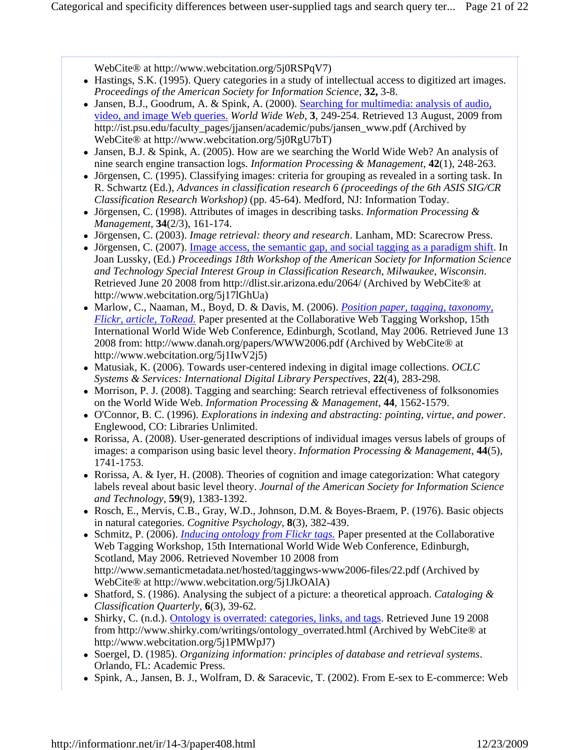WebCite® at http://www.webcitation.org/5j0RSPqV7)

- Hastings, S.K. (1995). Query categories in a study of intellectual access to digitized art images. *Proceedings of the American Society for Information Science*, **32,** 3-8.
- Jansen, B.J., Goodrum, A. & Spink, A. (2000). Searching for multimedia: analysis of audio, video, and image Web queries. *World Wide Web*, **3**, 249-254. Retrieved 13 August, 2009 from http://ist.psu.edu/faculty\_pages/jjansen/academic/pubs/jansen\_www.pdf (Archived by WebCite® at http://www.webcitation.org/5j0RgU7bT)
- Jansen, B.J. & Spink, A. (2005). How are we searching the World Wide Web? An analysis of nine search engine transaction logs. *Information Processing & Management*, **42**(1), 248-263.
- Jörgensen, C. (1995). Classifying images: criteria for grouping as revealed in a sorting task. In R. Schwartz (Ed.), *Advances in classification research 6 (proceedings of the 6th ASIS SIG/CR Classification Research Workshop)* (pp. 45-64). Medford, NJ: Information Today.
- Jörgensen, C. (1998). Attributes of images in describing tasks. *Information Processing & Management*, **34**(2/3), 161-174.
- Jörgensen, C. (2003). *Image retrieval: theory and research*. Lanham, MD: Scarecrow Press.
- Jörgensen, C. (2007). Image access, the semantic gap, and social tagging as a paradigm shift. In Joan Lussky, (Ed.) *Proceedings 18th Workshop of the American Society for Information Science and Technology Special Interest Group in Classification Research, Milwaukee, Wisconsin*. Retrieved June 20 2008 from http://dlist.sir.arizona.edu/2064/ (Archived by WebCite® at http://www.webcitation.org/5j17lGhUa)
- Marlow, C., Naaman, M., Boyd, D. & Davis, M. (2006). *Position paper, tagging, taxonomy, Flickr, article, ToRead.* Paper presented at the Collaborative Web Tagging Workshop, 15th International World Wide Web Conference, Edinburgh, Scotland, May 2006. Retrieved June 13 2008 from: http://www.danah.org/papers/WWW2006.pdf (Archived by WebCite® at http://www.webcitation.org/5j1IwV2j5)
- Matusiak, K. (2006). Towards user-centered indexing in digital image collections. *OCLC Systems & Services: International Digital Library Perspectives*, **22**(4), 283-298.
- Morrison, P. J. (2008). Tagging and searching: Search retrieval effectiveness of folksonomies on the World Wide Web. *Information Processing & Management*, **44**, 1562-1579.
- O'Connor, B. C. (1996). *Explorations in indexing and abstracting: pointing, virtue, and power*. Englewood, CO: Libraries Unlimited.
- Rorissa, A. (2008). User-generated descriptions of individual images versus labels of groups of images: a comparison using basic level theory. *Information Processing & Management*, **44**(5), 1741-1753.
- Rorissa, A. & Iyer, H. (2008). Theories of cognition and image categorization: What category labels reveal about basic level theory. *Journal of the American Society for Information Science and Technology*, **59**(9), 1383-1392.
- Rosch, E., Mervis, C.B., Gray, W.D., Johnson, D.M. & Boyes-Braem, P. (1976). Basic objects in natural categories. *Cognitive Psychology*, **8**(3), 382-439.
- Schmitz, P. (2006). *Inducing ontology from Flickr tags.* Paper presented at the Collaborative Web Tagging Workshop, 15th International World Wide Web Conference, Edinburgh, Scotland, May 2006. Retrieved November 10 2008 from http://www.semanticmetadata.net/hosted/taggingws-www2006-files/22.pdf (Archived by WebCite® at http://www.webcitation.org/5j1JkOAlA)
- Shatford, S. (1986). Analysing the subject of a picture: a theoretical approach. *Cataloging & Classification Quarterly*, **6**(3), 39-62.
- Shirky, C. (n.d.). Ontology is overrated: categories, links, and tags. Retrieved June 19 2008 from http://www.shirky.com/writings/ontology\_overrated.html (Archived by WebCite® at http://www.webcitation.org/5j1PMWpJ7)
- Soergel, D. (1985). *Organizing information: principles of database and retrieval systems*. Orlando, FL: Academic Press.
- Spink, A., Jansen, B. J., Wolfram, D. & Saracevic, T. (2002). From E-sex to E-commerce: Web